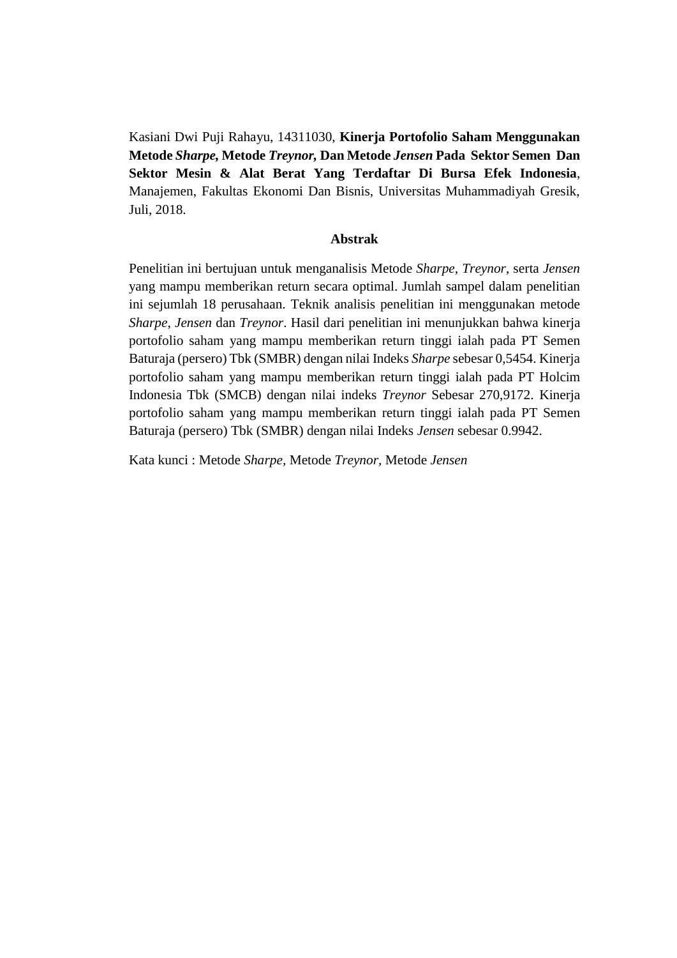Kasiani Dwi Puji Rahayu, 14311030, **Kinerja Portofolio Saham Menggunakan Metode** *Sharpe,* **Metode** *Treynor,* **Dan Metode** *Jensen* **Pada Sektor Semen Dan Sektor Mesin & Alat Berat Yang Terdaftar Di Bursa Efek Indonesia**, Manajemen, Fakultas Ekonomi Dan Bisnis, Universitas Muhammadiyah Gresik, Juli, 2018.

## **Abstrak**

Penelitian ini bertujuan untuk menganalisis Metode *Sharpe*, *Treynor*, serta *Jensen* yang mampu memberikan return secara optimal. Jumlah sampel dalam penelitian ini sejumlah 18 perusahaan. Teknik analisis penelitian ini menggunakan metode *Sharpe*, *Jensen* dan *Treynor*. Hasil dari penelitian ini menunjukkan bahwa kinerja portofolio saham yang mampu memberikan return tinggi ialah pada PT Semen Baturaja (persero) Tbk (SMBR) dengan nilai Indeks *Sharpe* sebesar 0,5454. Kinerja portofolio saham yang mampu memberikan return tinggi ialah pada PT Holcim Indonesia Tbk (SMCB) dengan nilai indeks *Treynor* Sebesar 270,9172. Kinerja portofolio saham yang mampu memberikan return tinggi ialah pada PT Semen Baturaja (persero) Tbk (SMBR) dengan nilai Indeks *Jensen* sebesar 0.9942.

Kata kunci : Metode *Sharpe,* Metode *Treynor,* Metode *Jensen*